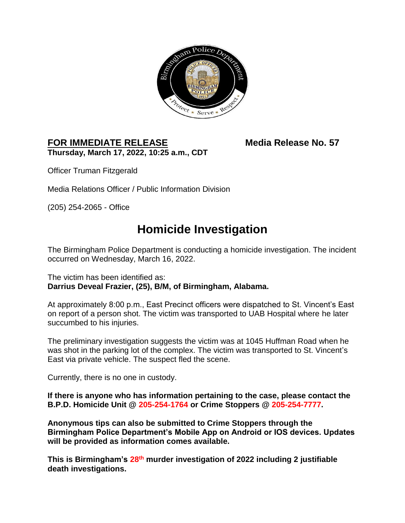

## **FOR IMMEDIATE RELEASE Media Release No. 57 Thursday, March 17, 2022, 10:25 a.m., CDT**

Officer Truman Fitzgerald

Media Relations Officer / Public Information Division

(205) 254-2065 - Office

## **Homicide Investigation**

The Birmingham Police Department is conducting a homicide investigation. The incident occurred on Wednesday, March 16, 2022.

The victim has been identified as: **Darrius Deveal Frazier, (25), B/M, of Birmingham, Alabama.** 

At approximately 8:00 p.m., East Precinct officers were dispatched to St. Vincent's East on report of a person shot. The victim was transported to UAB Hospital where he later succumbed to his injuries.

The preliminary investigation suggests the victim was at 1045 Huffman Road when he was shot in the parking lot of the complex. The victim was transported to St. Vincent's East via private vehicle. The suspect fled the scene.

Currently, there is no one in custody.

**If there is anyone who has information pertaining to the case, please contact the B.P.D. Homicide Unit @ 205-254-1764 or Crime Stoppers @ 205-254-7777.** 

**Anonymous tips can also be submitted to Crime Stoppers through the Birmingham Police Department's Mobile App on Android or IOS devices. Updates will be provided as information comes available.**

**This is Birmingham's 28 th murder investigation of 2022 including 2 justifiable death investigations.**